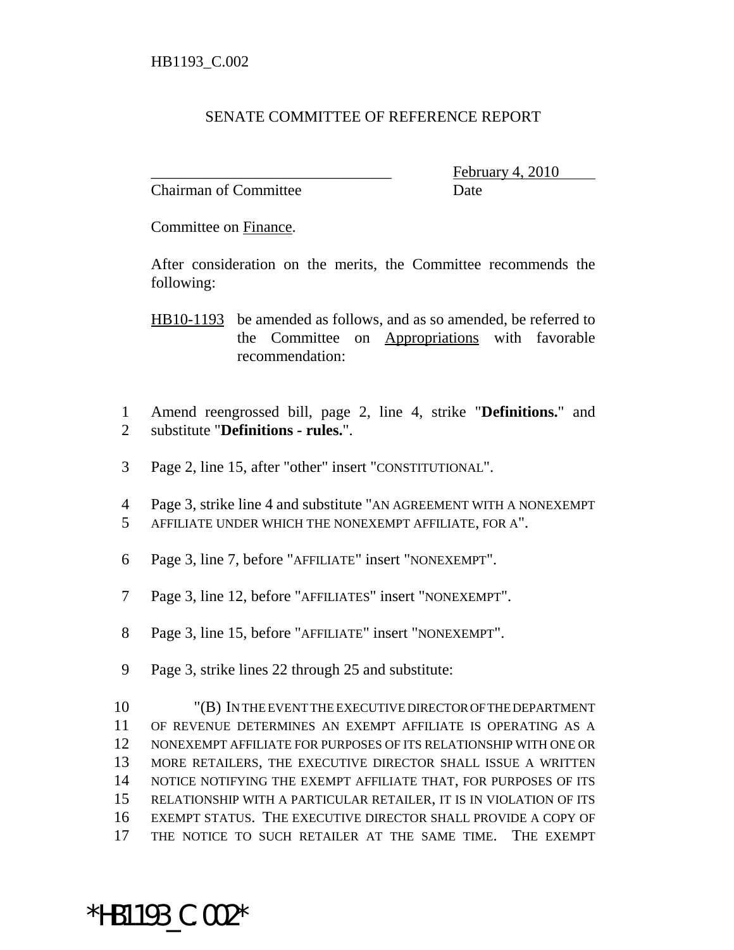## SENATE COMMITTEE OF REFERENCE REPORT

Chairman of Committee **Date** 

February 4,

Committee on Finance.

After consideration on the merits, the Committee recommends the following:

HB10-1193 be amended as follows, and as so amended, be referred to the Committee on Appropriations with favorable recommendation:

 Amend reengrossed bill, page 2, line 4, strike "**Definitions.**" and substitute "**Definitions - rules.**".

- Page 2, line 15, after "other" insert "CONSTITUTIONAL".
- Page 3, strike line 4 and substitute "AN AGREEMENT WITH A NONEXEMPT
- AFFILIATE UNDER WHICH THE NONEXEMPT AFFILIATE, FOR A".
- Page 3, line 7, before "AFFILIATE" insert "NONEXEMPT".
- Page 3, line 12, before "AFFILIATES" insert "NONEXEMPT".
- Page 3, line 15, before "AFFILIATE" insert "NONEXEMPT".
- Page 3, strike lines 22 through 25 and substitute:

\*HB1193\_C.002\*

 "(B) IN THE EVENT THE EXECUTIVE DIRECTOR OF THE DEPARTMENT OF REVENUE DETERMINES AN EXEMPT AFFILIATE IS OPERATING AS A NONEXEMPT AFFILIATE FOR PURPOSES OF ITS RELATIONSHIP WITH ONE OR MORE RETAILERS, THE EXECUTIVE DIRECTOR SHALL ISSUE A WRITTEN NOTICE NOTIFYING THE EXEMPT AFFILIATE THAT, FOR PURPOSES OF ITS RELATIONSHIP WITH A PARTICULAR RETAILER, IT IS IN VIOLATION OF ITS EXEMPT STATUS. THE EXECUTIVE DIRECTOR SHALL PROVIDE A COPY OF THE NOTICE TO SUCH RETAILER AT THE SAME TIME. THE EXEMPT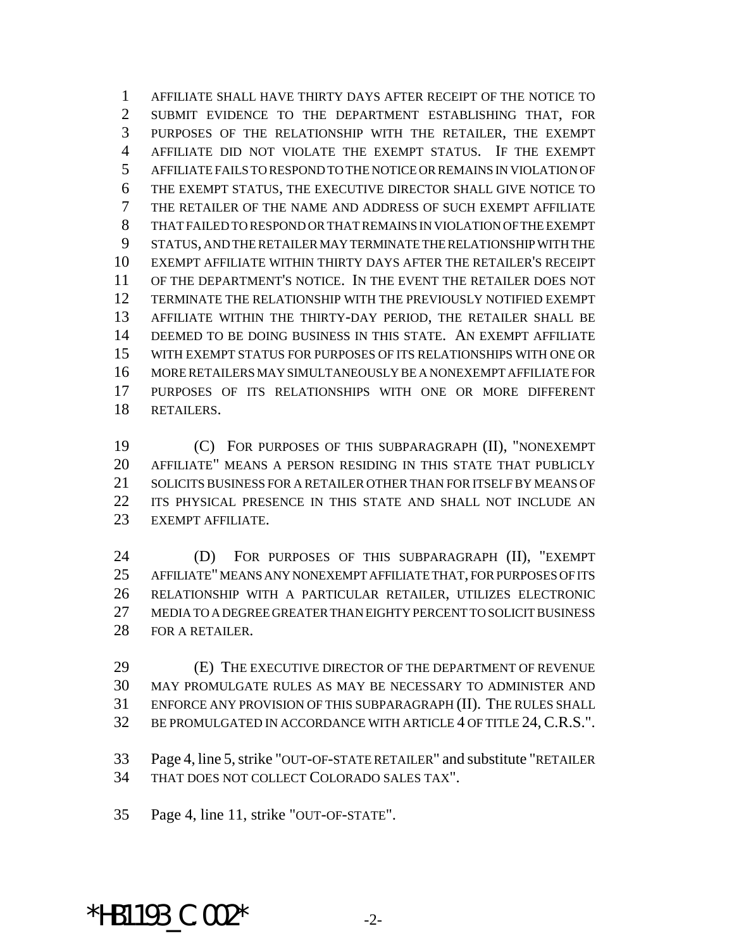AFFILIATE SHALL HAVE THIRTY DAYS AFTER RECEIPT OF THE NOTICE TO SUBMIT EVIDENCE TO THE DEPARTMENT ESTABLISHING THAT, FOR PURPOSES OF THE RELATIONSHIP WITH THE RETAILER, THE EXEMPT AFFILIATE DID NOT VIOLATE THE EXEMPT STATUS. IF THE EXEMPT AFFILIATE FAILS TO RESPOND TO THE NOTICE OR REMAINS IN VIOLATION OF THE EXEMPT STATUS, THE EXECUTIVE DIRECTOR SHALL GIVE NOTICE TO THE RETAILER OF THE NAME AND ADDRESS OF SUCH EXEMPT AFFILIATE THAT FAILED TO RESPOND OR THAT REMAINS IN VIOLATION OF THE EXEMPT STATUS, AND THE RETAILER MAY TERMINATE THE RELATIONSHIP WITH THE EXEMPT AFFILIATE WITHIN THIRTY DAYS AFTER THE RETAILER'S RECEIPT OF THE DEPARTMENT'S NOTICE. IN THE EVENT THE RETAILER DOES NOT TERMINATE THE RELATIONSHIP WITH THE PREVIOUSLY NOTIFIED EXEMPT AFFILIATE WITHIN THE THIRTY-DAY PERIOD, THE RETAILER SHALL BE DEEMED TO BE DOING BUSINESS IN THIS STATE. AN EXEMPT AFFILIATE WITH EXEMPT STATUS FOR PURPOSES OF ITS RELATIONSHIPS WITH ONE OR MORE RETAILERS MAY SIMULTANEOUSLY BE A NONEXEMPT AFFILIATE FOR PURPOSES OF ITS RELATIONSHIPS WITH ONE OR MORE DIFFERENT RETAILERS.

 (C) FOR PURPOSES OF THIS SUBPARAGRAPH (II), "NONEXEMPT AFFILIATE" MEANS A PERSON RESIDING IN THIS STATE THAT PUBLICLY SOLICITS BUSINESS FOR A RETAILER OTHER THAN FOR ITSELF BY MEANS OF ITS PHYSICAL PRESENCE IN THIS STATE AND SHALL NOT INCLUDE AN EXEMPT AFFILIATE.

24 (D) FOR PURPOSES OF THIS SUBPARAGRAPH (II), "EXEMPT AFFILIATE" MEANS ANY NONEXEMPT AFFILIATE THAT, FOR PURPOSES OF ITS RELATIONSHIP WITH A PARTICULAR RETAILER, UTILIZES ELECTRONIC MEDIA TO A DEGREE GREATER THAN EIGHTY PERCENT TO SOLICIT BUSINESS 28 FOR A RETAILER.

 (E) THE EXECUTIVE DIRECTOR OF THE DEPARTMENT OF REVENUE MAY PROMULGATE RULES AS MAY BE NECESSARY TO ADMINISTER AND ENFORCE ANY PROVISION OF THIS SUBPARAGRAPH (II). THE RULES SHALL BE PROMULGATED IN ACCORDANCE WITH ARTICLE 4 OF TITLE 24,C.R.S.".

 Page 4, line 5, strike "OUT-OF-STATE RETAILER" and substitute "RETAILER THAT DOES NOT COLLECT COLORADO SALES TAX".

Page 4, line 11, strike "OUT-OF-STATE".

## $*$ HB1193  $C.002*$   $2-z$